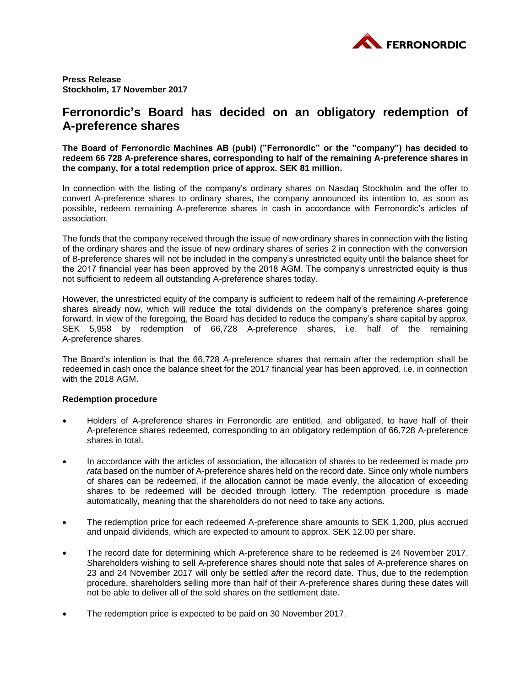

**Press Release Stockholm, 17 November 2017**

# **Ferronordic's Board has decided on an obligatory redemption of A-preference shares**

**The Board of Ferronordic Machines AB (publ) ("Ferronordic" or the "company") has decided to redeem 66 728 A-preference shares, corresponding to half of the remaining A-preference shares in the company, for a total redemption price of approx. SEK 81 million.** 

In connection with the listing of the company's ordinary shares on Nasdaq Stockholm and the offer to convert A-preference shares to ordinary shares, the company announced its intention to, as soon as possible, redeem remaining A-preference shares in cash in accordance with Ferronordic's articles of association.

The funds that the company received through the issue of new ordinary shares in connection with the listing of the ordinary shares and the issue of new ordinary shares of series 2 in connection with the conversion of B-preference shares will not be included in the company's unrestricted equity until the balance sheet for the 2017 financial year has been approved by the 2018 AGM. The company's unrestricted equity is thus not sufficient to redeem all outstanding A-preference shares today.

However, the unrestricted equity of the company is sufficient to redeem half of the remaining A-preference shares already now, which will reduce the total dividends on the company's preference shares going forward. In view of the foregoing, the Board has decided to reduce the company's share capital by approx. SEK 5,958 by redemption of 66,728 A-preference shares, i.e. half of the remaining A-preference shares.

The Board's intention is that the 66,728 A-preference shares that remain after the redemption shall be redeemed in cash once the balance sheet for the 2017 financial year has been approved, i.e. in connection with the 2018 AGM.

## **Redemption procedure**

- Holders of A-preference shares in Ferronordic are entitled, and obligated, to have half of their A-preference shares redeemed, corresponding to an obligatory redemption of 66,728 A-preference shares in total.
- In accordance with the articles of association, the allocation of shares to be redeemed is made *pro rata* based on the number of A-preference shares held on the record date. Since only whole numbers of shares can be redeemed, if the allocation cannot be made evenly, the allocation of exceeding shares to be redeemed will be decided through lottery. The redemption procedure is made automatically, meaning that the shareholders do not need to take any actions.
- The redemption price for each redeemed A-preference share amounts to SEK 1,200, plus accrued and unpaid dividends, which are expected to amount to approx. SEK 12.00 per share.
- The record date for determining which A-preference share to be redeemed is 24 November 2017. Shareholders wishing to sell A-preference shares should note that sales of A-preference shares on 23 and 24 November 2017 will only be settled *after* the record date. Thus, due to the redemption procedure, shareholders selling more than half of their A-preference shares during these dates will not be able to deliver all of the sold shares on the settlement date.
- The redemption price is expected to be paid on 30 November 2017.